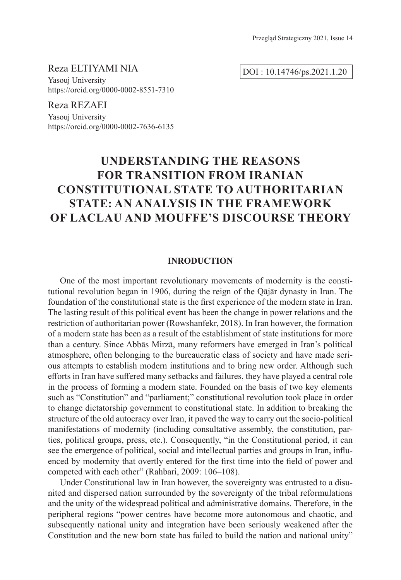Reza ELTIYAMI NIA

DOI : 10.14746/ps.2021.1.20

Yasouj University https://orcid.org/0000-0002-8551-7310

Reza REZAEI Yasouj University https://orcid.org/0000-0002-7636-6135

# **UNDERSTANDING THE REASONS FOR TRANSITION FROM IRANIAN CONSTITUTIONAL STATE TO AUTHORITARIAN STATE: AN ANALYSIS IN THE FRAMEWORK OF LACLAU AND MOUFFE'S DISCOURSE THEORY**

# **INRODUCTION**

One of the most important revolutionary movements of modernity is the constitutional revolution began in 1906, during the reign of the Qājār dynasty in Iran. The foundation of the constitutional state is the first experience of the modern state in Iran. The lasting result of this political event has been the change in power relations and the restriction of authoritarian power (Rowshanfekr, 2018). In Iran however, the formation of a modern state has been as a result of the establishment of state institutions for more than a century. Since Abbās Mirzā, many reformers have emerged in Iran's political atmosphere, often belonging to the bureaucratic class of society and have made serious attempts to establish modern institutions and to bring new order. Although such efforts in Iran have suffered many setbacks and failures, they have played a central role in the process of forming a modern state. Founded on the basis of two key elements such as "Constitution" and "parliament;" constitutional revolution took place in order to change dictatorship government to constitutional state. In addition to breaking the structure of the old autocracy over Iran, it paved the way to carry out the socio-political manifestations of modernity (including consultative assembly, the constitution, parties, political groups, press, etc.). Consequently, "in the Constitutional period, it can see the emergence of political, social and intellectual parties and groups in Iran, influenced by modernity that overtly entered for the first time into the field of power and competed with each other" (Rahbari, 2009: 106–108).

Under Constitutional law in Iran however, the sovereignty was entrusted to a disunited and dispersed nation surrounded by the sovereignty of the tribal reformulations and the unity of the widespread political and administrative domains. Therefore, in the peripheral regions "power centres have become more autonomous and chaotic, and subsequently national unity and integration have been seriously weakened after the Constitution and the new born state has failed to build the nation and national unity"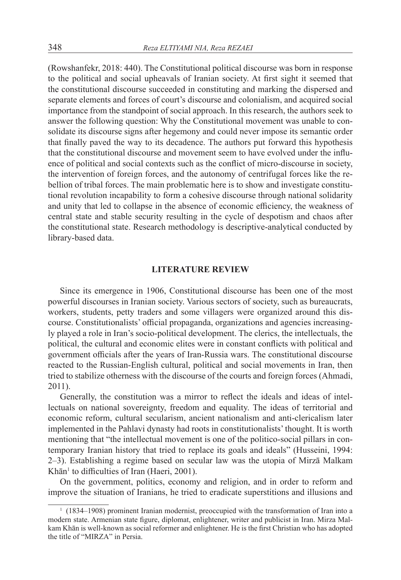(Rowshanfekr, 2018: 440). The Constitutional political discourse was born in response to the political and social upheavals of Iranian society. At first sight it seemed that the constitutional discourse succeeded in constituting and marking the dispersed and separate elements and forces of court's discourse and colonialism, and acquired social importance from the standpoint of social approach. In this research, the authors seek to answer the following question: Why the Constitutional movement was unable to consolidate its discourse signs after hegemony and could never impose its semantic order that finally paved the way to its decadence. The authors put forward this hypothesis that the constitutional discourse and movement seem to have evolved under the influence of political and social contexts such as the conflict of micro-discourse in society, the intervention of foreign forces, and the autonomy of centrifugal forces like the rebellion of tribal forces. The main problematic here is to show and investigate constitutional revolution incapability to form a cohesive discourse through national solidarity and unity that led to collapse in the absence of economic efficiency, the weakness of central state and stable security resulting in the cycle of despotism and chaos after the constitutional state. Research methodology is descriptive-analytical conducted by library-based data.

#### **LITERATURE REVIEW**

Since its emergence in 1906, Constitutional discourse has been one of the most powerful discourses in Iranian society. Various sectors of society, such as bureaucrats, workers, students, petty traders and some villagers were organized around this discourse. Constitutionalists' official propaganda, organizations and agencies increasingly played a role in Iran's socio-political development. The clerics, the intellectuals, the political, the cultural and economic elites were in constant conflicts with political and government officials after the years of Iran-Russia wars. The constitutional discourse reacted to the Russian-English cultural, political and social movements in Iran, then tried to stabilize otherness with the discourse of the courts and foreign forces (Ahmadi, 2011).

Generally, the constitution was a mirror to reflect the ideals and ideas of intellectuals on national sovereignty, freedom and equality. The ideas of territorial and economic reform, cultural secularism, ancient nationalism and anti-clericalism later implemented in the Pahlavi dynasty had roots in constitutionalists' thought. It is worth mentioning that "the intellectual movement is one of the politico-social pillars in contemporary Iranian history that tried to replace its goals and ideals" (Husseini, 1994: 2–3). Establishing a regime based on secular law was the utopia of Mirzā Malkam Khān<sup>1</sup> to difficulties of Iran (Haeri, 2001).

On the government, politics, economy and religion, and in order to reform and improve the situation of Iranians, he tried to eradicate superstitions and illusions and

<sup>&</sup>lt;sup>1</sup> (1834–1908) prominent Iranian modernist, preoccupied with the transformation of Iran into a modern state. Armenian state figure, diplomat, enlightener, writer and publicist in Iran. Mirza Malkam Khān is well-known as social reformer and enlightener. He is the first Christian who has adopted the title of "MIRZA" in Persia.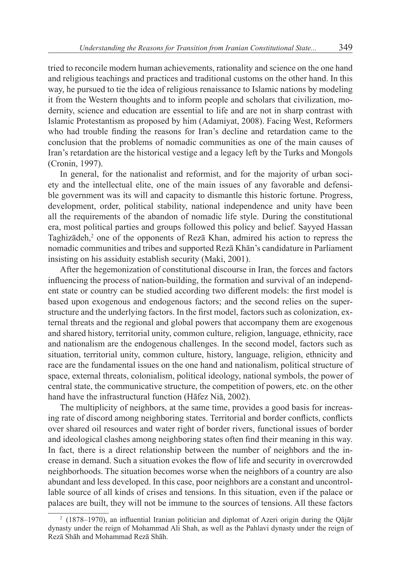tried to reconcile modern human achievements, rationality and science on the one hand and religious teachings and practices and traditional customs on the other hand. In this way, he pursued to tie the idea of religious renaissance to Islamic nations by modeling it from the Western thoughts and to inform people and scholars that civilization, modernity, science and education are essential to life and are not in sharp contrast with Islamic Protestantism as proposed by him (Adamiyat, 2008). Facing West, Reformers who had trouble finding the reasons for Iran's decline and retardation came to the conclusion that the problems of nomadic communities as one of the main causes of Iran's retardation are the historical vestige and a legacy left by the Turks and Mongols (Cronin, 1997).

In general, for the nationalist and reformist, and for the majority of urban society and the intellectual elite, one of the main issues of any favorable and defensible government was its will and capacity to dismantle this historic fortune. Progress, development, order, political stability, national independence and unity have been all the requirements of the abandon of nomadic life style. During the constitutional era, most political parties and groups followed this policy and belief. Sayyed Hassan Taghizādeh,<sup>2</sup> one of the opponents of Rezā Khan, admired his action to repress the nomadic communities and tribes and supported Rezā Khān's candidature in Parliament insisting on his assiduity establish security (Maki, 2001).

After the hegemonization of constitutional discourse in Iran, the forces and factors influencing the process of nation-building, the formation and survival of an independent state or country can be studied according two different models: the first model is based upon exogenous and endogenous factors; and the second relies on the superstructure and the underlying factors. In the first model, factors such as colonization, external threats and the regional and global powers that accompany them are exogenous and shared history, territorial unity, common culture, religion, language, ethnicity, race and nationalism are the endogenous challenges. In the second model, factors such as situation, territorial unity, common culture, history, language, religion, ethnicity and race are the fundamental issues on the one hand and nationalism, political structure of space, external threats, colonialism, political ideology, national symbols, the power of central state, the communicative structure, the competition of powers, etc. on the other hand have the infrastructural function (Hāfez Niā, 2002).

The multiplicity of neighbors, at the same time, provides a good basis for increasing rate of discord among neighboring states. Territorial and border conflicts, conflicts over shared oil resources and water right of border rivers, functional issues of border and ideological clashes among neighboring states often find their meaning in this way. In fact, there is a direct relationship between the number of neighbors and the increase in demand. Such a situation evokes the flow of life and security in overcrowded neighborhoods. The situation becomes worse when the neighbors of a country are also abundant and less developed. In this case, poor neighbors are a constant and uncontrollable source of all kinds of crises and tensions. In this situation, even if the palace or palaces are built, they will not be immune to the sources of tensions. All these factors

<sup>2</sup> (1878–1970), an influential Iranian politician and diplomat of Azeri origin during the Qājār dynasty under the reign of Mohammad Ali Shah, as well as the Pahlavi dynasty under the reign of Rezā Shāh and Mohammad Rezā Shāh.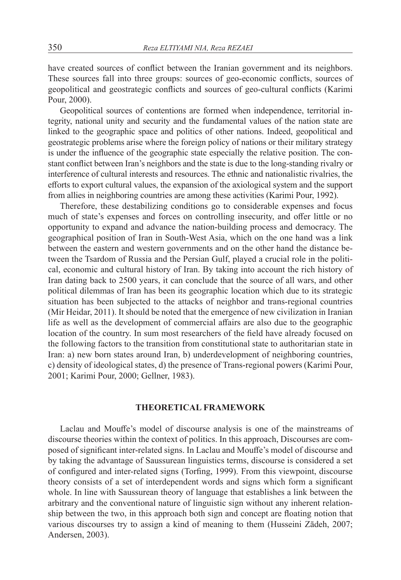have created sources of conflict between the Iranian government and its neighbors. These sources fall into three groups: sources of geo-economic conflicts, sources of geopolitical and geostrategic conflicts and sources of geo-cultural conflicts (Karimi Pour, 2000).

Geopolitical sources of contentions are formed when independence, territorial integrity, national unity and security and the fundamental values of the nation state are linked to the geographic space and politics of other nations. Indeed, geopolitical and geostrategic problems arise where the foreign policy of nations or their military strategy is under the influence of the geographic state especially the relative position. The constant conflict between Iran's neighbors and the state is due to the long-standing rivalry or interference of cultural interests and resources. The ethnic and nationalistic rivalries, the efforts to export cultural values, the expansion of the axiological system and the support from allies in neighboring countries are among these activities (Karimi Pour, 1992).

Therefore, these destabilizing conditions go to considerable expenses and focus much of state's expenses and forces on controlling insecurity, and offer little or no opportunity to expand and advance the nation-building process and democracy. The geographical position of Iran in South-West Asia, which on the one hand was a link between the eastern and western governments and on the other hand the distance between the Tsardom of Russia and the Persian Gulf, played a crucial role in the political, economic and cultural history of Iran. By taking into account the rich history of Iran dating back to 2500 years, it can conclude that the source of all wars, and other political dilemmas of Iran has been its geographic location which due to its strategic situation has been subjected to the attacks of neighbor and trans-regional countries (Mir Heidar, 2011). It should be noted that the emergence of new civilization in Iranian life as well as the development of commercial affairs are also due to the geographic location of the country. In sum most researchers of the field have already focused on the following factors to the transition from constitutional state to authoritarian state in Iran: a) new born states around Iran, b) underdevelopment of neighboring countries, c) density of ideological states, d) the presence of Trans-regional powers (Karimi Pour, 2001; Karimi Pour, 2000; Gellner, 1983).

# **THEORETICAL FRAMEWORK**

Laclau and Mouffe's model of discourse analysis is one of the mainstreams of discourse theories within the context of politics. In this approach, Discourses are composed of significant inter-related signs. In Laclau and Mouffe's model of discourse and by taking the advantage of Saussurean linguistics terms, discourse is considered a set of configured and inter-related signs (Torfing, 1999). From this viewpoint, discourse theory consists of a set of interdependent words and signs which form a significant whole. In line with Saussurean theory of language that establishes a link between the arbitrary and the conventional nature of linguistic sign without any inherent relationship between the two, in this approach both sign and concept are floating notion that various discourses try to assign a kind of meaning to them (Husseini Zādeh, 2007; Andersen, 2003).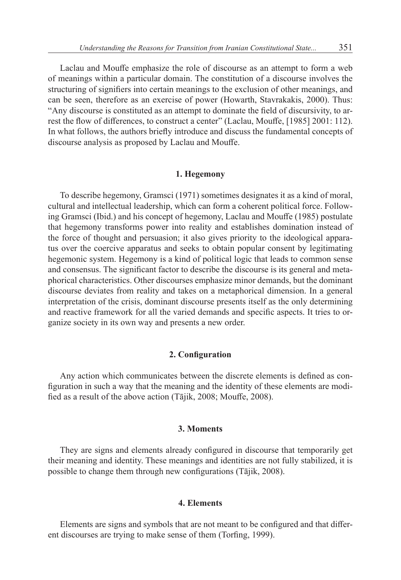Laclau and Mouffe emphasize the role of discourse as an attempt to form a web of meanings within a particular domain. The constitution of a discourse involves the structuring of signifiers into certain meanings to the exclusion of other meanings, and can be seen, therefore as an exercise of power (Howarth, Stavrakakis, 2000). Thus: "Any discourse is constituted as an attempt to dominate the field of discursivity, to arrest the flow of differences, to construct a center" (Laclau, Mouffe, [1985] 2001: 112). In what follows, the authors briefly introduce and discuss the fundamental concepts of discourse analysis as proposed by Laclau and Mouffe.

# **1. Hegemony**

To describe hegemony, Gramsci (1971) sometimes designates it as a kind of moral, cultural and intellectual leadership, which can form a coherent political force. Following Gramsci (Ibid.) and his concept of hegemony, Laclau and Mouffe (1985) postulate that hegemony transforms power into reality and establishes domination instead of the force of thought and persuasion; it also gives priority to the ideological apparatus over the coercive apparatus and seeks to obtain popular consent by legitimating hegemonic system. Hegemony is a kind of political logic that leads to common sense and consensus. The significant factor to describe the discourse is its general and metaphorical characteristics. Other discourses emphasize minor demands, but the dominant discourse deviates from reality and takes on a metaphorical dimension. In a general interpretation of the crisis, dominant discourse presents itself as the only determining and reactive framework for all the varied demands and specific aspects. It tries to organize society in its own way and presents a new order.

### **2. Configuration**

Any action which communicates between the discrete elements is defined as configuration in such a way that the meaning and the identity of these elements are modified as a result of the above action (Tājik, 2008; Mouffe, 2008).

# **3. Moments**

They are signs and elements already configured in discourse that temporarily get their meaning and identity. These meanings and identities are not fully stabilized, it is possible to change them through new configurations (Tājik, 2008).

## **4. Elements**

Elements are signs and symbols that are not meant to be configured and that different discourses are trying to make sense of them (Torfing, 1999).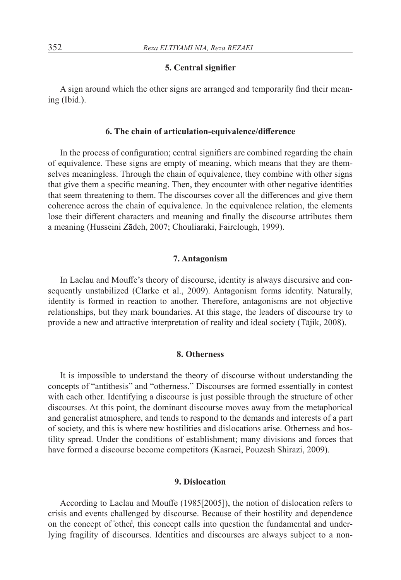# **5. Central signifier**

A sign around which the other signs are arranged and temporarily find their meaning (Ibid.).

## **6. The chain of articulation-equivalence/difference**

In the process of configuration; central signifiers are combined regarding the chain of equivalence. These signs are empty of meaning, which means that they are themselves meaningless. Through the chain of equivalence, they combine with other signs that give them a specific meaning. Then, they encounter with other negative identities that seem threatening to them. The discourses cover all the differences and give them coherence across the chain of equivalence. In the equivalence relation, the elements lose their different characters and meaning and finally the discourse attributes them a meaning (Husseini Zādeh, 2007; Chouliaraki, Fairclough, 1999).

# **7. Antagonism**

In Laclau and Mouffe's theory of discourse, identity is always discursive and consequently unstabilized (Clarke et al., 2009). Antagonism forms identity. Naturally, identity is formed in reaction to another. Therefore, antagonisms are not objective relationships, but they mark boundaries. At this stage, the leaders of discourse try to provide a new and attractive interpretation of reality and ideal society (Tājik, 2008).

### **8. Otherness**

It is impossible to understand the theory of discourse without understanding the concepts of "antithesis" and "otherness." Discourses are formed essentially in contest with each other. Identifying a discourse is just possible through the structure of other discourses. At this point, the dominant discourse moves away from the metaphorical and generalist atmosphere, and tends to respond to the demands and interests of a part of society, and this is where new hostilities and dislocations arise. Otherness and hostility spread. Under the conditions of establishment; many divisions and forces that have formed a discourse become competitors (Kasraei, Pouzesh Shirazi, 2009).

#### **9. Dislocation**

According to Laclau and Mouffe (1985[2005]), the notion of dislocation refers to crisis and events challenged by discourse. Because of their hostility and dependence on the concept of "other", this concept calls into question the fundamental and underlying fragility of discourses. Identities and discourses are always subject to a non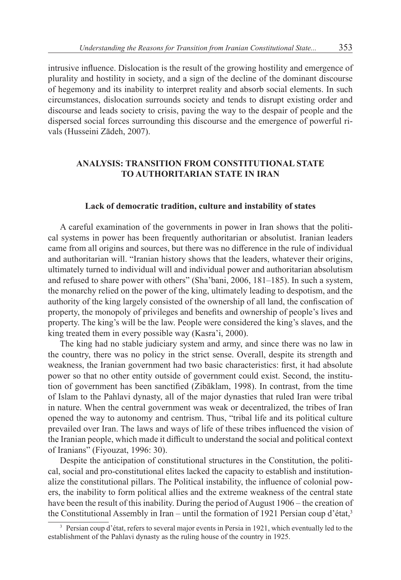intrusive influence. Dislocation is the result of the growing hostility and emergence of plurality and hostility in society, and a sign of the decline of the dominant discourse of hegemony and its inability to interpret reality and absorb social elements. In such circumstances, dislocation surrounds society and tends to disrupt existing order and discourse and leads society to crisis, paving the way to the despair of people and the dispersed social forces surrounding this discourse and the emergence of powerful rivals (Husseini Zādeh, 2007).

# **ANALYSIS: TRANSITION FROM CONSTITUTIONAL STATE TO AUTHORITARIAN STATE IN IRAN**

## **Lack of democratic tradition, culture and instability of states**

A careful examination of the governments in power in Iran shows that the political systems in power has been frequently authoritarian or absolutist. Iranian leaders came from all origins and sources, but there was no difference in the rule of individual and authoritarian will. "Iranian history shows that the leaders, whatever their origins, ultimately turned to individual will and individual power and authoritarian absolutism and refused to share power with others" (Sha'bani, 2006, 181–185). In such a system, the monarchy relied on the power of the king, ultimately leading to despotism, and the authority of the king largely consisted of the ownership of all land, the confiscation of property, the monopoly of privileges and benefits and ownership of people's lives and property. The king's will be the law. People were considered the king's slaves, and the king treated them in every possible way (Kasra'i, 2000).

The king had no stable judiciary system and army, and since there was no law in the country, there was no policy in the strict sense. Overall, despite its strength and weakness, the Iranian government had two basic characteristics: first, it had absolute power so that no other entity outside of government could exist. Second, the institution of government has been sanctified (Zibāklam, 1998). In contrast, from the time of Islam to the Pahlavi dynasty, all of the major dynasties that ruled Iran were tribal in nature. When the central government was weak or decentralized, the tribes of Iran opened the way to autonomy and centrism. Thus, "tribal life and its political culture prevailed over Iran. The laws and ways of life of these tribes influenced the vision of the Iranian people, which made it difficult to understand the social and political context of Iranians" (Fiyouzat, 1996: 30).

Despite the anticipation of constitutional structures in the Constitution, the political, social and pro-constitutional elites lacked the capacity to establish and institutionalize the constitutional pillars. The Political instability, the influence of colonial powers, the inability to form political allies and the extreme weakness of the central state have been the result of this inability. During the period of August 1906 – the creation of the Constitutional Assembly in Iran – until the formation of 1921 Persian coup d'état,<sup>3</sup>

<sup>3</sup> Persian coup d'état, refers to several major events in Persia in 1921, which eventually led to the establishment of the Pahlavi dynasty as the ruling house of the country in 1925.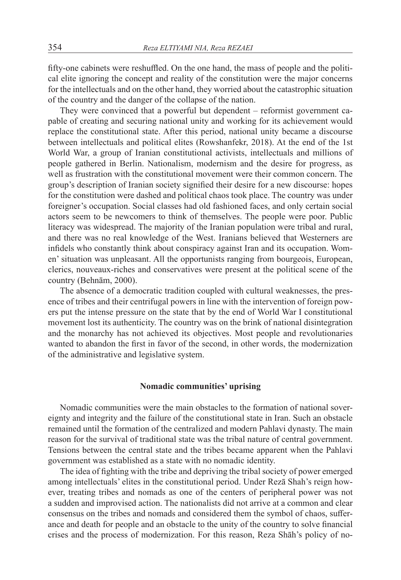fifty-one cabinets were reshuffled. On the one hand, the mass of people and the political elite ignoring the concept and reality of the constitution were the major concerns for the intellectuals and on the other hand, they worried about the catastrophic situation of the country and the danger of the collapse of the nation.

They were convinced that a powerful but dependent – reformist government capable of creating and securing national unity and working for its achievement would replace the constitutional state. After this period, national unity became a discourse between intellectuals and political elites (Rowshanfekr, 2018). At the end of the 1st World War, a group of Iranian constitutional activists, intellectuals and millions of people gathered in Berlin. Nationalism, modernism and the desire for progress, as well as frustration with the constitutional movement were their common concern. The group's description of Iranian society signified their desire for a new discourse: hopes for the constitution were dashed and political chaos took place. The country was under foreigner's occupation. Social classes had old fashioned faces, and only certain social actors seem to be newcomers to think of themselves. The people were poor. Public literacy was widespread. The majority of the Iranian population were tribal and rural, and there was no real knowledge of the West. Iranians believed that Westerners are infidels who constantly think about conspiracy against Iran and its occupation. Women' situation was unpleasant. All the opportunists ranging from bourgeois, European, clerics, nouveaux-riches and conservatives were present at the political scene of the country (Behnām, 2000).

The absence of a democratic tradition coupled with cultural weaknesses, the presence of tribes and their centrifugal powers in line with the intervention of foreign powers put the intense pressure on the state that by the end of World War I constitutional movement lost its authenticity. The country was on the brink of national disintegration and the monarchy has not achieved its objectives. Most people and revolutionaries wanted to abandon the first in favor of the second, in other words, the modernization of the administrative and legislative system.

## **Nomadic communities' uprising**

Nomadic communities were the main obstacles to the formation of national sovereignty and integrity and the failure of the constitutional state in Iran. Such an obstacle remained until the formation of the centralized and modern Pahlavi dynasty. The main reason for the survival of traditional state was the tribal nature of central government. Tensions between the central state and the tribes became apparent when the Pahlavi government was established as a state with no nomadic identity.

The idea of fighting with the tribe and depriving the tribal society of power emerged among intellectuals' elites in the constitutional period. Under Rezā Shah's reign however, treating tribes and nomads as one of the centers of peripheral power was not a sudden and improvised action. The nationalists did not arrive at a common and clear consensus on the tribes and nomads and considered them the symbol of chaos, sufferance and death for people and an obstacle to the unity of the country to solve financial crises and the process of modernization. For this reason, Reza Shāh's policy of no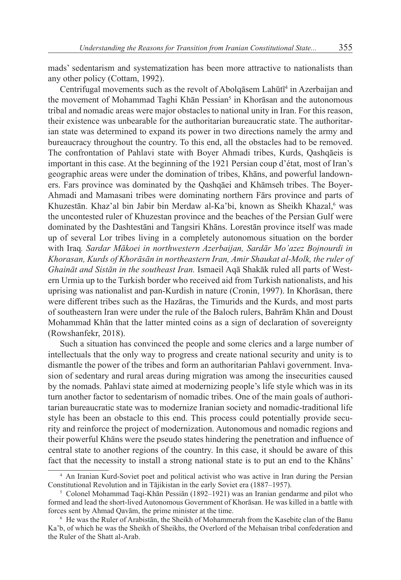mads' sedentarism and systematization has been more attractive to nationalists than any other policy (Cottam, 1992).

Centrifugal movements such as the revolt of Abolqāsem Lahūtī<sup>4</sup> in Azerbaijan and the movement of Mohammad Taghi Khān Pessian<sup>5</sup> in Khorāsan and the autonomous tribal and nomadic areas were major obstacles to national unity in Iran. For this reason, their existence was unbearable for the authoritarian bureaucratic state. The authoritarian state was determined to expand its power in two directions namely the army and bureaucracy throughout the country. To this end, all the obstacles had to be removed. The confrontation of Pahlavi state with Boyer Ahmadi tribes, Kurds, Qashqāeis is important in this case. At the beginning of the 1921 Persian coup d'état, most of Iran's geographic areas were under the domination of tribes, Khāns, and powerful landowners. Fars province was dominated by the Qashqāei and Khāmseh tribes. The Boyer-Ahmadi and Mamasani tribes were dominating northern Fārs province and parts of Khuzestān. Khaz'al bin Jabir bin Merdaw al-Ka'bi, known as Sheikh Khazal,<sup>6</sup> was the uncontested ruler of Khuzestan province and the beaches of the Persian Gulf were dominated by the Dashtestāni and Tangsiri Khāns. Lorestān province itself was made up of several Lor tribes living in a completely autonomous situation on the border with Iraq*. Sardar Mākoei in northwestern Azerbaijan, Sardār Mo'azez Bojnourdi in Khorasan, Kurds of Khorāsān in northeastern Iran, Amir Shaukat al-Molk, the ruler of Ghaināt and Sistān in the southeast Iran.* Ismaeil Aqā Shakāk ruled all parts of Western Urmia up to the Turkish border who received aid from Turkish nationalists, and his uprising was nationalist and pan-Kurdish in nature (Cronin, 1997). In Khorāsan, there were different tribes such as the Hazāras, the Timurids and the Kurds, and most parts of southeastern Iran were under the rule of the Baloch rulers, Bahrām Khān and Doust Mohammad Khān that the latter minted coins as a sign of declaration of sovereignty (Rowshanfekr, 2018).

Such a situation has convinced the people and some clerics and a large number of intellectuals that the only way to progress and create national security and unity is to dismantle the power of the tribes and form an authoritarian Pahlavi government. Invasion of sedentary and rural areas during migration was among the insecurities caused by the nomads. Pahlavi state aimed at modernizing people's life style which was in its turn another factor to sedentarism of nomadic tribes. One of the main goals of authoritarian bureaucratic state was to modernize Iranian society and nomadic-traditional life style has been an obstacle to this end. This process could potentially provide security and reinforce the project of modernization. Autonomous and nomadic regions and their powerful Khāns were the pseudo states hindering the penetration and influence of central state to another regions of the country. In this case, it should be aware of this fact that the necessity to install a strong national state is to put an end to the Khāns'

<sup>4</sup> An Iranian Kurd-Soviet poet and political activist who was active in Iran during the Persian Constitutional Revolution and in Tājikistan in the early Soviet era (1887–1957).

<sup>5</sup> Colonel Mohammad Taqi-Khān Pessiān (1892–1921) was an Iranian gendarme and pilot who formed and lead the short-lived Autonomous Government of Khorāsan. He was killed in a battle with forces sent by Ahmad Qavām, the prime minister at the time.

<sup>6</sup> He was the Ruler of Arabistān, the Sheikh of Mohammerah from the Kasebite clan of the Banu Ka'b, of which he was the Sheikh of Sheikhs, the Overlord of the Mehaisan tribal confederation and the Ruler of the Shatt al-Arab.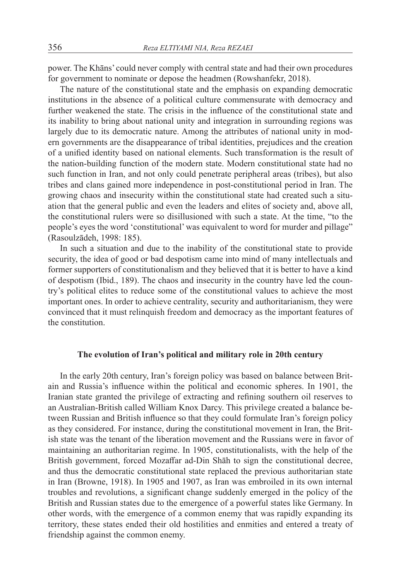power. The Khāns' could never comply with central state and had their own procedures for government to nominate or depose the headmen (Rowshanfekr, 2018).

The nature of the constitutional state and the emphasis on expanding democratic institutions in the absence of a political culture commensurate with democracy and further weakened the state. The crisis in the influence of the constitutional state and its inability to bring about national unity and integration in surrounding regions was largely due to its democratic nature. Among the attributes of national unity in modern governments are the disappearance of tribal identities, prejudices and the creation of a unified identity based on national elements. Such transformation is the result of the nation-building function of the modern state. Modern constitutional state had no such function in Iran, and not only could penetrate peripheral areas (tribes), but also tribes and clans gained more independence in post-constitutional period in Iran. The growing chaos and insecurity within the constitutional state had created such a situation that the general public and even the leaders and elites of society and, above all, the constitutional rulers were so disillusioned with such a state. At the time, "to the people's eyes the word 'constitutional' was equivalent to word for murder and pillage" (Rasoulzādeh, 1998: 185).

In such a situation and due to the inability of the constitutional state to provide security, the idea of good or bad despotism came into mind of many intellectuals and former supporters of constitutionalism and they believed that it is better to have a kind of despotism (Ibid., 189). The chaos and insecurity in the country have led the country's political elites to reduce some of the constitutional values to achieve the most important ones. In order to achieve centrality, security and authoritarianism, they were convinced that it must relinquish freedom and democracy as the important features of the constitution.

# **The evolution of Iran's political and military role in 20th century**

In the early 20th century, Iran's foreign policy was based on balance between Britain and Russia's influence within the political and economic spheres. In 1901, the Iranian state granted the privilege of extracting and refining southern oil reserves to an Australian-British called William Knox Darcy. This privilege created a balance between Russian and British influence so that they could formulate Iran's foreign policy as they considered. For instance, during the constitutional movement in Iran, the British state was the tenant of the liberation movement and the Russians were in favor of maintaining an authoritarian regime. In 1905, constitutionalists, with the help of the British government, forced Mozaffar ad-Din Shāh to sign the constitutional decree, and thus the democratic constitutional state replaced the previous authoritarian state in Iran (Browne, 1918). In 1905 and 1907, as Iran was embroiled in its own internal troubles and revolutions, a significant change suddenly emerged in the policy of the British and Russian states due to the emergence of a powerful states like Germany. In other words, with the emergence of a common enemy that was rapidly expanding its territory, these states ended their old hostilities and enmities and entered a treaty of friendship against the common enemy.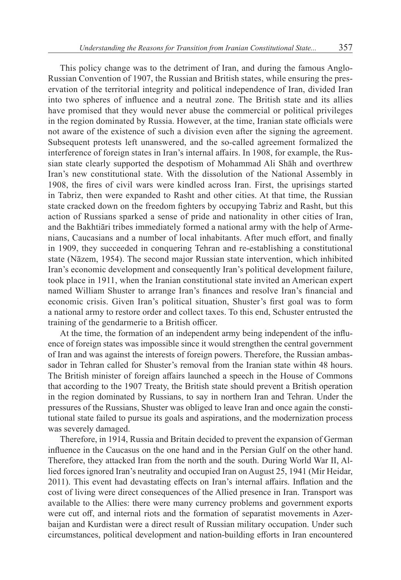This policy change was to the detriment of Iran, and during the famous Anglo-Russian Convention of 1907, the Russian and British states, while ensuring the preservation of the territorial integrity and political independence of Iran, divided Iran into two spheres of influence and a neutral zone. The British state and its allies have promised that they would never abuse the commercial or political privileges in the region dominated by Russia. However, at the time, Iranian state officials were not aware of the existence of such a division even after the signing the agreement. Subsequent protests left unanswered, and the so-called agreement formalized the interference of foreign states in Iran's internal affairs. In 1908, for example, the Russian state clearly supported the despotism of Mohammad Ali Shāh and overthrew Iran's new constitutional state. With the dissolution of the National Assembly in 1908, the fires of civil wars were kindled across Iran. First, the uprisings started in Tabriz, then were expanded to Rasht and other cities. At that time, the Russian state cracked down on the freedom fighters by occupying Tabriz and Rasht, but this action of Russians sparked a sense of pride and nationality in other cities of Iran, and the Bakhtiāri tribes immediately formed a national army with the help of Armenians, Caucasians and a number of local inhabitants. After much effort, and finally in 1909, they succeeded in conquering Tehran and re-establishing a constitutional state (Nāzem, 1954). The second major Russian state intervention, which inhibited Iran's economic development and consequently Iran's political development failure, took place in 1911, when the Iranian constitutional state invited an American expert named William Shuster to arrange Iran's finances and resolve Iran's financial and economic crisis. Given Iran's political situation, Shuster's first goal was to form a national army to restore order and collect taxes. To this end, Schuster entrusted the training of the gendarmerie to a British officer.

At the time, the formation of an independent army being independent of the influence of foreign states was impossible since it would strengthen the central government of Iran and was against the interests of foreign powers. Therefore, the Russian ambassador in Tehran called for Shuster's removal from the Iranian state within 48 hours. The British minister of foreign affairs launched a speech in the House of Commons that according to the 1907 Treaty, the British state should prevent a British operation in the region dominated by Russians, to say in northern Iran and Tehran. Under the pressures of the Russians, Shuster was obliged to leave Iran and once again the constitutional state failed to pursue its goals and aspirations, and the modernization process was severely damaged.

Therefore, in 1914, Russia and Britain decided to prevent the expansion of German influence in the Caucasus on the one hand and in the Persian Gulf on the other hand. Therefore, they attacked Iran from the north and the south. During World War II, Allied forces ignored Iran's neutrality and occupied Iran on August 25, 1941 (Mir Heidar, 2011). This event had devastating effects on Iran's internal affairs. Inflation and the cost of living were direct consequences of the Allied presence in Iran. Transport was available to the Allies: there were many currency problems and government exports were cut off, and internal riots and the formation of separatist movements in Azerbaijan and Kurdistan were a direct result of Russian military occupation. Under such circumstances, political development and nation-building efforts in Iran encountered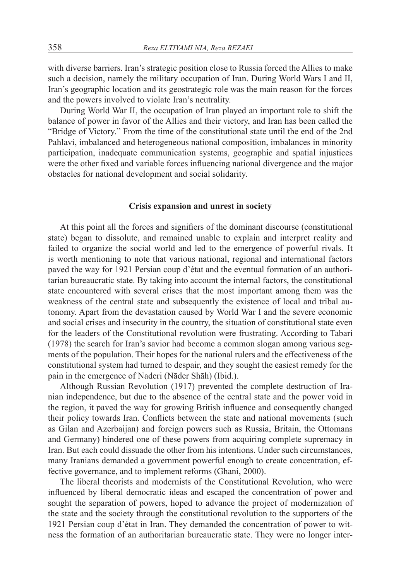with diverse barriers. Iran's strategic position close to Russia forced the Allies to make such a decision, namely the military occupation of Iran. During World Wars I and II, Iran's geographic location and its geostrategic role was the main reason for the forces and the powers involved to violate Iran's neutrality.

During World War II, the occupation of Iran played an important role to shift the balance of power in favor of the Allies and their victory, and Iran has been called the "Bridge of Victory." From the time of the constitutional state until the end of the 2nd Pahlavi, imbalanced and heterogeneous national composition, imbalances in minority participation, inadequate communication systems, geographic and spatial injustices were the other fixed and variable forces influencing national divergence and the major obstacles for national development and social solidarity.

## **Crisis expansion and unrest in society**

At this point all the forces and signifiers of the dominant discourse (constitutional state) began to dissolute, and remained unable to explain and interpret reality and failed to organize the social world and led to the emergence of powerful rivals. It is worth mentioning to note that various national, regional and international factors paved the way for 1921 Persian coup d'état and the eventual formation of an authoritarian bureaucratic state. By taking into account the internal factors, the constitutional state encountered with several crises that the most important among them was the weakness of the central state and subsequently the existence of local and tribal autonomy. Apart from the devastation caused by World War I and the severe economic and social crises and insecurity in the country, the situation of constitutional state even for the leaders of the Constitutional revolution were frustrating. According to Tabari (1978) the search for Iran's savior had become a common slogan among various segments of the population. Their hopes for the national rulers and the effectiveness of the constitutional system had turned to despair, and they sought the easiest remedy for the pain in the emergence of Naderi (Nāder Shāh) (Ibid.).

Although Russian Revolution (1917) prevented the complete destruction of Iranian independence, but due to the absence of the central state and the power void in the region, it paved the way for growing British influence and consequently changed their policy towards Iran. Conflicts between the state and national movements (such as Gilan and Azerbaijan) and foreign powers such as Russia, Britain, the Ottomans and Germany) hindered one of these powers from acquiring complete supremacy in Iran. But each could dissuade the other from his intentions. Under such circumstances, many Iranians demanded a government powerful enough to create concentration, effective governance, and to implement reforms (Ghani, 2000).

The liberal theorists and modernists of the Constitutional Revolution, who were influenced by liberal democratic ideas and escaped the concentration of power and sought the separation of powers, hoped to advance the project of modernization of the state and the society through the constitutional revolution to the supporters of the 1921 Persian coup d'état in Iran. They demanded the concentration of power to witness the formation of an authoritarian bureaucratic state. They were no longer inter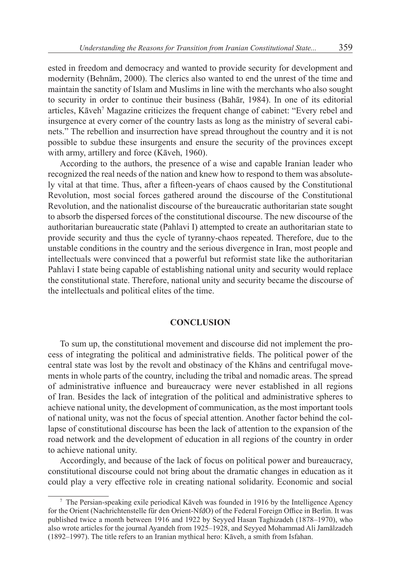ested in freedom and democracy and wanted to provide security for development and modernity (Behnām, 2000). The clerics also wanted to end the unrest of the time and maintain the sanctity of Islam and Muslims in line with the merchants who also sought to security in order to continue their business (Bahār, 1984). In one of its editorial articles, Kāveh<sup>7</sup> Magazine criticizes the frequent change of cabinet: "Every rebel and insurgence at every corner of the country lasts as long as the ministry of several cabinets." The rebellion and insurrection have spread throughout the country and it is not possible to subdue these insurgents and ensure the security of the provinces except with army, artillery and force (Kāveh, 1960).

According to the authors, the presence of a wise and capable Iranian leader who recognized the real needs of the nation and knew how to respond to them was absolutely vital at that time. Thus, after a fifteen-years of chaos caused by the Constitutional Revolution, most social forces gathered around the discourse of the Constitutional Revolution, and the nationalist discourse of the bureaucratic authoritarian state sought to absorb the dispersed forces of the constitutional discourse. The new discourse of the authoritarian bureaucratic state (Pahlavi I) attempted to create an authoritarian state to provide security and thus the cycle of tyranny-chaos repeated. Therefore, due to the unstable conditions in the country and the serious divergence in Iran, most people and intellectuals were convinced that a powerful but reformist state like the authoritarian Pahlavi I state being capable of establishing national unity and security would replace the constitutional state. Therefore, national unity and security became the discourse of the intellectuals and political elites of the time.

#### **CONCLUSION**

To sum up, the constitutional movement and discourse did not implement the process of integrating the political and administrative fields. The political power of the central state was lost by the revolt and obstinacy of the Khāns and centrifugal movements in whole parts of the country, including the tribal and nomadic areas. The spread of administrative influence and bureaucracy were never established in all regions of Iran. Besides the lack of integration of the political and administrative spheres to achieve national unity, the development of communication, as the most important tools of national unity, was not the focus of special attention. Another factor behind the collapse of constitutional discourse has been the lack of attention to the expansion of the road network and the development of education in all regions of the country in order to achieve national unity.

Accordingly, and because of the lack of focus on political power and bureaucracy, constitutional discourse could not bring about the dramatic changes in education as it could play a very effective role in creating national solidarity. Economic and social

 $\frac{7}{1}$  The Persian-speaking exile periodical Kāveh was founded in 1916 by the Intelligence Agency for the Orient (Nachrichtenstelle für den Orient-NfdO) of the Federal Foreign Office in Berlin. It was published twice a month between 1916 and 1922 by Seyyed Hasan Taghizadeh (1878–1970), who also wrote articles for the journal Ayandeh from 1925–1928, and Seyyed Mohammad Ali Jamālzadeh (1892–1997). The title refers to an Iranian mythical hero: Kāveh, a smith from Isfahan.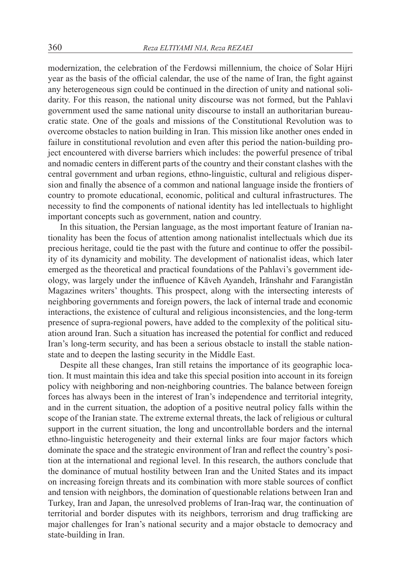modernization, the celebration of the Ferdowsi millennium, the choice of Solar Hijri year as the basis of the official calendar, the use of the name of Iran, the fight against any heterogeneous sign could be continued in the direction of unity and national solidarity. For this reason, the national unity discourse was not formed, but the Pahlavi government used the same national unity discourse to install an authoritarian bureaucratic state. One of the goals and missions of the Constitutional Revolution was to overcome obstacles to nation building in Iran. This mission like another ones ended in failure in constitutional revolution and even after this period the nation-building project encountered with diverse barriers which includes: the powerful presence of tribal and nomadic centers in different parts of the country and their constant clashes with the central government and urban regions, ethno-linguistic, cultural and religious dispersion and finally the absence of a common and national language inside the frontiers of country to promote educational, economic, political and cultural infrastructures. The necessity to find the components of national identity has led intellectuals to highlight important concepts such as government, nation and country.

In this situation, the Persian language, as the most important feature of Iranian nationality has been the focus of attention among nationalist intellectuals which due its precious heritage, could tie the past with the future and continue to offer the possibility of its dynamicity and mobility. The development of nationalist ideas, which later emerged as the theoretical and practical foundations of the Pahlavi's government ideology, was largely under the influence of Kāveh Ayandeh, Irānshahr and Farangistān Magazines writers' thoughts. This prospect, along with the intersecting interests of neighboring governments and foreign powers, the lack of internal trade and economic interactions, the existence of cultural and religious inconsistencies, and the long-term presence of supra-regional powers, have added to the complexity of the political situation around Iran. Such a situation has increased the potential for conflict and reduced Iran's long-term security, and has been a serious obstacle to install the stable nationstate and to deepen the lasting security in the Middle East.

Despite all these changes, Iran still retains the importance of its geographic location. It must maintain this idea and take this special position into account in its foreign policy with neighboring and non-neighboring countries. The balance between foreign forces has always been in the interest of Iran's independence and territorial integrity, and in the current situation, the adoption of a positive neutral policy falls within the scope of the Iranian state. The extreme external threats, the lack of religious or cultural support in the current situation, the long and uncontrollable borders and the internal ethno-linguistic heterogeneity and their external links are four major factors which dominate the space and the strategic environment of Iran and reflect the country's position at the international and regional level. In this research, the authors conclude that the dominance of mutual hostility between Iran and the United States and its impact on increasing foreign threats and its combination with more stable sources of conflict and tension with neighbors, the domination of questionable relations between Iran and Turkey, Iran and Japan, the unresolved problems of Iran-Iraq war, the continuation of territorial and border disputes with its neighbors, terrorism and drug trafficking are major challenges for Iran's national security and a major obstacle to democracy and state-building in Iran.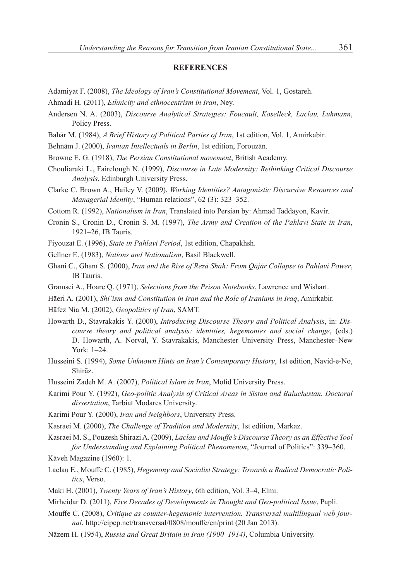#### **REFERENCES**

Adamiyat F. (2008), *The Ideology of Iran's Constitutional Movement*, Vol. 1, Gostareh.

- Ahmadi H. (2011), *Ethnicity and ethnocentrism in Iran*, Ney.
- Andersen N. A. (2003), *Discourse Analytical Strategies: Foucault, Koselleck, Laclau, Luhmann*, Policy Press.
- Bahār M. (1984), *A Brief History of Political Parties of Iran*, 1st edition, Vol. 1, Amirkabir.
- Behnām J. (2000), *Iranian Intellectuals in Berlin*, 1st edition, Forouzān.
- Browne E. G. (1918), *The Persian Constitutional movement*, British Academy.
- Chouliaraki L., Fairclough N. (1999), *Discourse in Late Modernity: Rethinking Critical Discourse Analysis*, Edinburgh University Press.
- Clarke C. Brown A., Hailey V. (2009), *Working Identities? Antagonistic Discursive Resources and Managerial Identity*, "Human relations", 62 (3): 323–352.

Cottom R. (1992), *Nationalism in Iran*, Translated into Persian by: Ahmad Taddayon, Kavir.

- Cronin S., Cronin D., Cronin S. M. (1997), *The Army and Creation of the Pahlavi State in Iran*, 1921–26, IB Tauris.
- Fiyouzat E. (1996), *State in Pahlavi Period*, 1st edition, Chapakhsh.
- Gellner E. (1983), *Nations and Nationalism*, Basil Blackwell.
- Ghani C., Ghanī S. (2000), *Iran and the Rise of Rezā Shāh: From Qājār Collapse to Pahlavi Power*, IB Tauris.
- Gramsci A., Hoare Q. (1971), *Selections from the Prison Notebooks*, Lawrence and Wishart.
- Hāeri A. (2001), *Shi'ism and Constitution in Iran and the Role of Iranians in Iraq*, Amirkabir.
- Hāfez Nia M. (2002), *Geopolitics of Iran*, SAMT.
- Howarth D., Stavrakakis Y. (2000), *Introducing Discourse Theory and Political Analysis*, in: *Discourse theory and political analysis: identities, hegemonies and social change*, (eds.) D. Howarth, A. Norval, Y. Stavrakakis, Manchester University Press, Manchester–New York: 1–24.
- Husseini S. (1994), *Some Unknown Hints on Iran's Contemporary History*, 1st edition, Navid-e-No, Shirāz.
- Husseini Zādeh M. A. (2007), *Political Islam in Iran*, Mofid University Press.
- Karimi Pour Y. (1992), *Geo-politic Analysis of Critical Areas in Sistan and Baluchestan. Doctoral dissertation*, Tarbiat Modares University.
- Karimi Pour Y. (2000), *Iran and Neighbors*, University Press.
- Kasraei M. (2000), *The Challenge of Tradition and Modernity*, 1st edition, Markaz.
- Kasraei M. S., Pouzesh Shirazi A. (2009), *Laclau and Mouffe's Discourse Theory as an Effective Tool for Understanding and Explaining Political Phenomenon*, "Journal of Politics": 339–360.
- Kāveh Magazine (1960): 1.
- Laclau E., Mouffe C. (1985), *Hegemony and Socialist Strategy: Towards a Radical Democratic Politics*, Verso.
- Maki H. (2001), *Twenty Years of Iran's History*, 6th edition, Vol. 3–4, Elmi.
- Mirheidar D. (2011), *Five Decades of Developments in Thought and Geo-political Issue*, Papli.
- Mouffe C. (2008), *Critique as counter-hegemonic intervention. Transversal multilingual web journal*, http://eipcp.net/transversal/0808/mouffe/en/print (20 Jan 2013).
- Nāzem H. (1954), *Russia and Great Britain in Iran (1900–1914)*, Columbia University.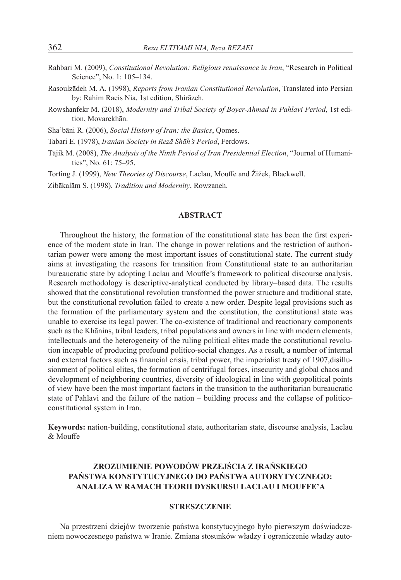- Rahbari M. (2009), *Constitutional Revolution: Religious renaissance in Iran*, "Research in Political Science", No. 1: 105–134.
- Rasoulzādeh M. A. (1998), *Reports from Iranian Constitutional Revolution*, Translated into Persian by: Rahim Raeis Nia, 1st edition, Shirāzeh.
- Rowshanfekr M. (2018), *Modernity and Tribal Society of Boyer-Ahmad in Pahlavi Period*, 1st edition, Movarekhān.

Sha'bāni R. (2006), *Social History of Iran: the Basics*, Qomes.

Tabari E. (1978), *Iranian Society in Rezā Shāh's Period*, Ferdows.

- Tājik M. (2008), *The Analysis of the Ninth Period of Iran Presidential Election*, "Journal of Humanities", No. 61: 75–95.
- Torfing J. (1999), *New Theories of Discourse*, Laclau, Mouffe and Źiźek, Blackwell.

Zibākalām S. (1998), *Tradition and Modernity*, Rowzaneh.

#### **ABSTRACT**

Throughout the history, the formation of the constitutional state has been the first experience of the modern state in Iran. The change in power relations and the restriction of authoritarian power were among the most important issues of constitutional state. The current study aims at investigating the reasons for transition from Constitutional state to an authoritarian bureaucratic state by adopting Laclau and Mouffe's framework to political discourse analysis. Research methodology is descriptive-analytical conducted by library–based data. The results showed that the constitutional revolution transformed the power structure and traditional state, but the constitutional revolution failed to create a new order. Despite legal provisions such as the formation of the parliamentary system and the constitution, the constitutional state was unable to exercise its legal power. The co-existence of traditional and reactionary components such as the Khānins, tribal leaders, tribal populations and owners in line with modern elements, intellectuals and the heterogeneity of the ruling political elites made the constitutional revolution incapable of producing profound politico-social changes. As a result, a number of internal and external factors such as financial crisis, tribal power, the imperialist treaty of 1907,disillusionment of political elites, the formation of centrifugal forces, insecurity and global chaos and development of neighboring countries, diversity of ideological in line with geopolitical points of view have been the most important factors in the transition to the authoritarian bureaucratic state of Pahlavi and the failure of the nation – building process and the collapse of politicoconstitutional system in Iran.

**Keywords:** nation-building, constitutional state, authoritarian state, discourse analysis, Laclau & Mouffe

# **ZROZUMIENIE POWODÓW PRZEJŚCIA Z IRAŃSKIEGO PAŃSTWA KONSTYTUCYJNEGO DO PAŃSTWA AUTORYTYCZNEGO: ANALIZA W RAMACH TEORII DYSKURSU LACLAU I MOUFFE'A**

# **STRESZCZENIE**

Na przestrzeni dziejów tworzenie państwa konstytucyjnego było pierwszym doświadczeniem nowoczesnego państwa w Iranie. Zmiana stosunków władzy i ograniczenie władzy auto-